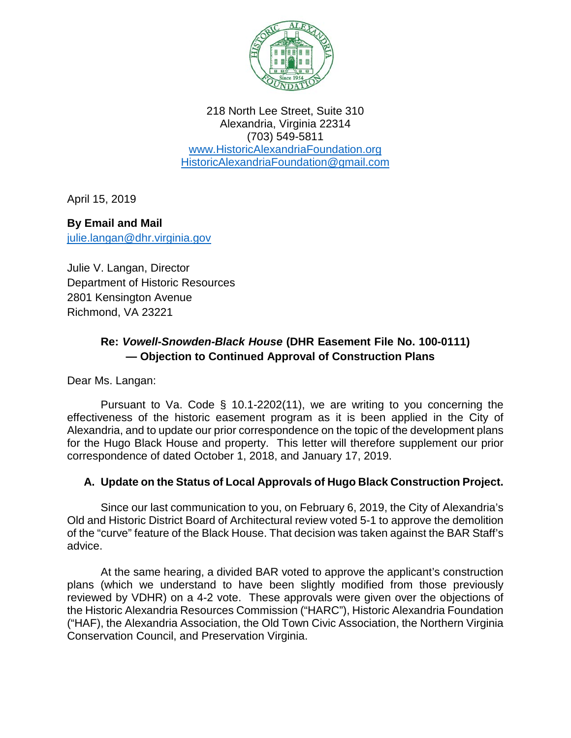

218 North Lee Street, Suite 310 Alexandria, Virginia 22314 (703) 549-5811 [www.HistoricAlexandriaFoundation.org](http://www.historicalexandriafoundation.org/) [HistoricAlexandriaFoundation@gmail.com](mailto:HistoricAlexandriaFoundation@gmail.com)

April 15, 2019

**By Email and Mail** [julie.langan@dhr.virginia.gov](mailto:julie.langan@dhr.virginia.gov)

Julie V. Langan, Director Department of Historic Resources 2801 Kensington Avenue Richmond, VA 23221

# **Re:** *Vowell-Snowden-Black House* **(DHR Easement File No. 100-0111) — Objection to Continued Approval of Construction Plans**

Dear Ms. Langan:

Pursuant to Va. Code § 10.1-2202(11), we are writing to you concerning the effectiveness of the historic easement program as it is been applied in the City of Alexandria, and to update our prior correspondence on the topic of the development plans for the Hugo Black House and property. This letter will therefore supplement our prior correspondence of dated October 1, 2018, and January 17, 2019.

## **A. Update on the Status of Local Approvals of Hugo Black Construction Project.**

Since our last communication to you, on February 6, 2019, the City of Alexandria's Old and Historic District Board of Architectural review voted 5-1 to approve the demolition of the "curve" feature of the Black House. That decision was taken against the BAR Staff's advice.

At the same hearing, a divided BAR voted to approve the applicant's construction plans (which we understand to have been slightly modified from those previously reviewed by VDHR) on a 4-2 vote. These approvals were given over the objections of the Historic Alexandria Resources Commission ("HARC"), Historic Alexandria Foundation ("HAF), the Alexandria Association, the Old Town Civic Association, the Northern Virginia Conservation Council, and Preservation Virginia.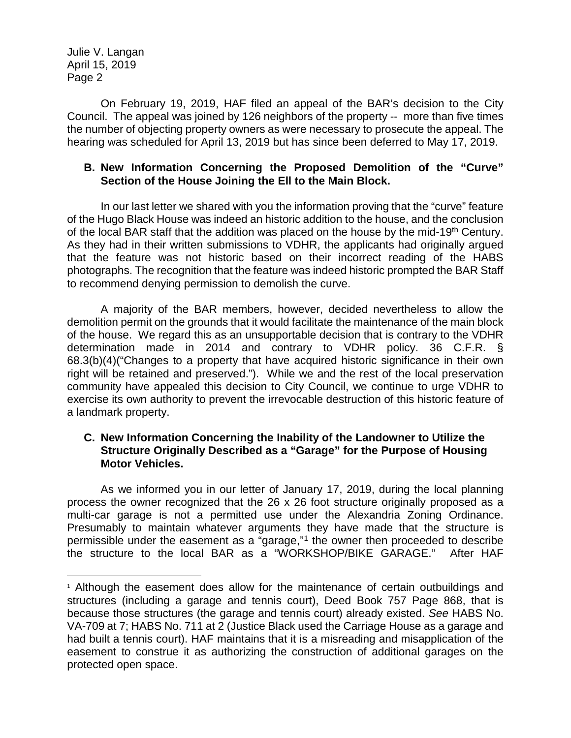Julie V. Langan April 15, 2019 Page 2

On February 19, 2019, HAF filed an appeal of the BAR's decision to the City Council. The appeal was joined by 126 neighbors of the property -- more than five times the number of objecting property owners as were necessary to prosecute the appeal. The hearing was scheduled for April 13, 2019 but has since been deferred to May 17, 2019.

### **B. New Information Concerning the Proposed Demolition of the "Curve" Section of the House Joining the Ell to the Main Block.**

In our last letter we shared with you the information proving that the "curve" feature of the Hugo Black House was indeed an historic addition to the house, and the conclusion of the local BAR staff that the addition was placed on the house by the mid-19<sup>th</sup> Century. As they had in their written submissions to VDHR, the applicants had originally argued that the feature was not historic based on their incorrect reading of the HABS photographs. The recognition that the feature was indeed historic prompted the BAR Staff to recommend denying permission to demolish the curve.

A majority of the BAR members, however, decided nevertheless to allow the demolition permit on the grounds that it would facilitate the maintenance of the main block of the house. We regard this as an unsupportable decision that is contrary to the VDHR determination made in 2014 and contrary to VDHR policy. 36 C.F.R. § 68.3(b)(4)("Changes to a property that have acquired historic significance in their own right will be retained and preserved."). While we and the rest of the local preservation community have appealed this decision to City Council, we continue to urge VDHR to exercise its own authority to prevent the irrevocable destruction of this historic feature of a landmark property.

### **C. New Information Concerning the Inability of the Landowner to Utilize the Structure Originally Described as a "Garage" for the Purpose of Housing Motor Vehicles.**

As we informed you in our letter of January 17, 2019, during the local planning process the owner recognized that the 26 x 26 foot structure originally proposed as a multi-car garage is not a permitted use under the Alexandria Zoning Ordinance. Presumably to maintain whatever arguments they have made that the structure is permissible under the easement as a "garage,"[1](#page-1-0) the owner then proceeded to describe the structure to the local BAR as a "WORKSHOP/BIKE GARAGE." After HAF

<span id="page-1-0"></span><sup>&</sup>lt;sup>1</sup> Although the easement does allow for the maintenance of certain outbuildings and structures (including a garage and tennis court), Deed Book 757 Page 868, that is because those structures (the garage and tennis court) already existed. *See* HABS No. VA-709 at 7; HABS No. 711 at 2 (Justice Black used the Carriage House as a garage and had built a tennis court). HAF maintains that it is a misreading and misapplication of the easement to construe it as authorizing the construction of additional garages on the protected open space.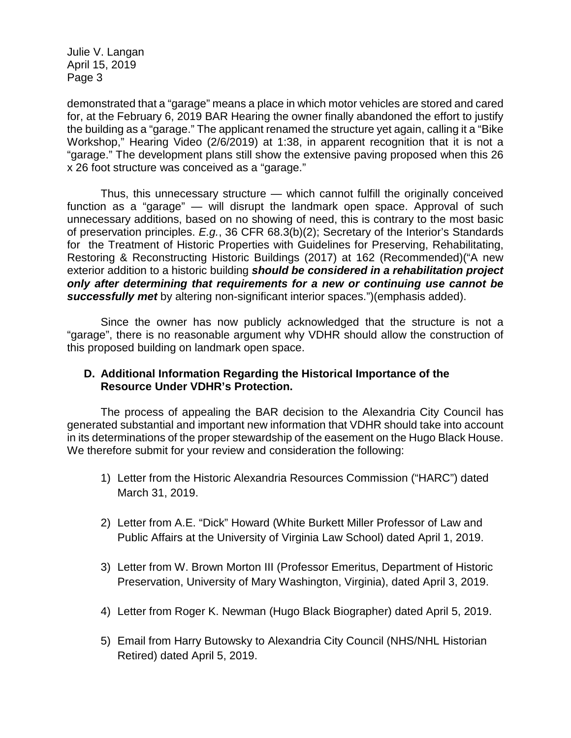Julie V. Langan April 15, 2019 Page 3

demonstrated that a "garage" means a place in which motor vehicles are stored and cared for, at the February 6, 2019 BAR Hearing the owner finally abandoned the effort to justify the building as a "garage." The applicant renamed the structure yet again, calling it a "Bike Workshop," Hearing Video (2/6/2019) at 1:38, in apparent recognition that it is not a "garage." The development plans still show the extensive paving proposed when this 26 x 26 foot structure was conceived as a "garage."

Thus, this unnecessary structure — which cannot fulfill the originally conceived function as a "garage" — will disrupt the landmark open space. Approval of such unnecessary additions, based on no showing of need, this is contrary to the most basic of preservation principles. *E.g.*, 36 CFR 68.3(b)(2); Secretary of the Interior's Standards for the Treatment of Historic Properties with Guidelines for Preserving, Rehabilitating, Restoring & Reconstructing Historic Buildings (2017) at 162 (Recommended)("A new exterior addition to a historic building *should be considered in a rehabilitation project only after determining that requirements for a new or continuing use cannot be successfully met* by altering non-significant interior spaces.")(emphasis added).

Since the owner has now publicly acknowledged that the structure is not a "garage", there is no reasonable argument why VDHR should allow the construction of this proposed building on landmark open space.

#### **D. Additional Information Regarding the Historical Importance of the Resource Under VDHR's Protection.**

The process of appealing the BAR decision to the Alexandria City Council has generated substantial and important new information that VDHR should take into account in its determinations of the proper stewardship of the easement on the Hugo Black House. We therefore submit for your review and consideration the following:

- 1) Letter from the Historic Alexandria Resources Commission ("HARC") dated March 31, 2019.
- 2) Letter from A.E. "Dick" Howard (White Burkett Miller Professor of Law and Public Affairs at the University of Virginia Law School) dated April 1, 2019.
- 3) Letter from W. Brown Morton III (Professor Emeritus, Department of Historic Preservation, University of Mary Washington, Virginia), dated April 3, 2019.
- 4) Letter from Roger K. Newman (Hugo Black Biographer) dated April 5, 2019.
- 5) Email from Harry Butowsky to Alexandria City Council (NHS/NHL Historian Retired) dated April 5, 2019.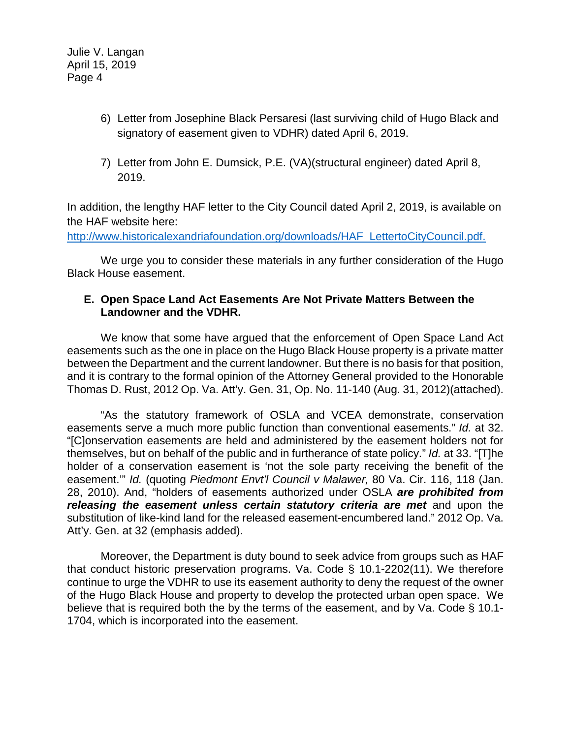- 6) Letter from Josephine Black Persaresi (last surviving child of Hugo Black and signatory of easement given to VDHR) dated April 6, 2019.
- 7) Letter from John E. Dumsick, P.E. (VA)(structural engineer) dated April 8, 2019.

In addition, the lengthy HAF letter to the City Council dated April 2, 2019, is available on the HAF website here:

[http://www.historicalexandriafoundation.org/downloads/HAF\\_LettertoCityCouncil.pdf.](http://www.historicalexandriafoundation.org/downloads/HAF_LettertoCityCouncil.pdf)

We urge you to consider these materials in any further consideration of the Hugo Black House easement.

#### **E. Open Space Land Act Easements Are Not Private Matters Between the Landowner and the VDHR.**

We know that some have argued that the enforcement of Open Space Land Act easements such as the one in place on the Hugo Black House property is a private matter between the Department and the current landowner. But there is no basis for that position, and it is contrary to the formal opinion of the Attorney General provided to the Honorable Thomas D. Rust, 2012 Op. Va. Att'y. Gen. 31, Op. No. 11-140 (Aug. 31, 2012)(attached).

"As the statutory framework of OSLA and VCEA demonstrate, conservation easements serve a much more public function than conventional easements." *Id.* at 32. "[C]onservation easements are held and administered by the easement holders not for themselves, but on behalf of the public and in furtherance of state policy." *Id.* at 33. "[T]he holder of a conservation easement is 'not the sole party receiving the benefit of the easement.'" *Id.* (quoting *Piedmont Envt'l Council v Malawer,* 80 Va. Cir. 116, 118 (Jan. 28, 2010). And, "holders of easements authorized under OSLA *are prohibited from*  releasing the easement unless certain statutory criteria are met and upon the substitution of like-kind land for the released easement-encumbered land." 2012 Op. Va. Att'y. Gen. at 32 (emphasis added).

Moreover, the Department is duty bound to seek advice from groups such as HAF that conduct historic preservation programs. Va. Code § 10.1-2202(11). We therefore continue to urge the VDHR to use its easement authority to deny the request of the owner of the Hugo Black House and property to develop the protected urban open space. We believe that is required both the by the terms of the easement, and by Va. Code § 10.1- 1704, which is incorporated into the easement.